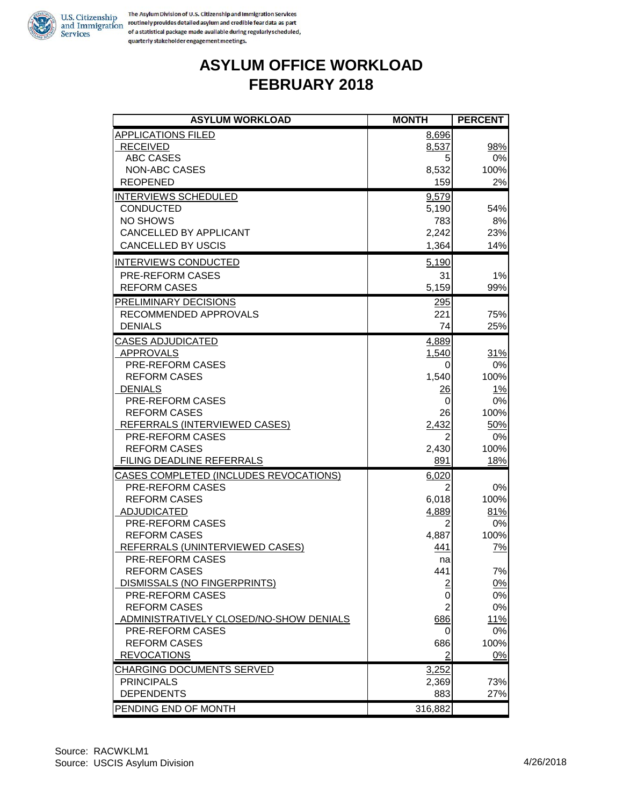

#### **ASYLUM OFFICE WORKLOAD FEBRUARY 2018**

| <b>ASYLUM WORKLOAD</b>                        | <b>MONTH</b>   | <b>PERCENT</b> |
|-----------------------------------------------|----------------|----------------|
| <b>APPLICATIONS FILED</b>                     | 8,696          |                |
| <b>RECEIVED</b>                               | 8,537          | 98%            |
| <b>ABC CASES</b>                              | 5              | 0%             |
| <b>NON-ABC CASES</b>                          | 8,532          | 100%           |
| <b>REOPENED</b>                               | 159            | 2%             |
| INTERVIEWS SCHEDULED                          | 9,579          |                |
| <b>CONDUCTED</b>                              | 5,190          | 54%            |
| NO SHOWS                                      | 783            | 8%             |
| CANCELLED BY APPLICANT                        | 2,242          | 23%            |
| <b>CANCELLED BY USCIS</b>                     | 1,364          | 14%            |
| <b>INTERVIEWS CONDUCTED</b>                   | 5,190          |                |
| PRE-REFORM CASES                              | 31             | 1%             |
| <b>REFORM CASES</b>                           | 5,159          | 99%            |
| PRELIMINARY DECISIONS                         | 295            |                |
| RECOMMENDED APPROVALS                         | 221            | 75%            |
| <b>DENIALS</b>                                | 74             | 25%            |
| <b>CASES ADJUDICATED</b>                      | 4,889          |                |
| <b>APPROVALS</b>                              | 1,540          | 31%            |
| PRE-REFORM CASES                              | 0              | $0\%$          |
| <b>REFORM CASES</b>                           | 1,540          | 100%           |
| <b>DENIALS</b>                                | $\frac{26}{5}$ | <u>1%</u>      |
| PRE-REFORM CASES                              | 0              | 0%             |
| <b>REFORM CASES</b>                           | 26             | 100%           |
| REFERRALS (INTERVIEWED CASES)                 | 2,432          | 50%            |
| PRE-REFORM CASES                              |                | 0%             |
| <b>REFORM CASES</b>                           | 2,430          | 100%           |
| FILING DEADLINE REFERRALS                     | 891            | 18%            |
| <b>CASES COMPLETED (INCLUDES REVOCATIONS)</b> | 6,020          |                |
| PRE-REFORM CASES                              | 2              | 0%             |
| <b>REFORM CASES</b>                           | 6,018          | 100%           |
| <b>ADJUDICATED</b>                            | 4,889          | 81%            |
| PRE-REFORM CASES                              | 2              | 0%             |
| <b>REFORM CASES</b>                           | 4,887          | 100%           |
| REFERRALS (UNINTERVIEWED CASES)               | 441            | 7%             |
| PRE-REFORM CASES                              | na             |                |
| <b>REFORM CASES</b>                           | 441            | 7%             |
| DISMISSALS (NO FINGERPRINTS)                  |                | $0\%$          |
| PRE-REFORM CASES                              | 0              | 0%             |
| <b>REFORM CASES</b>                           | $\overline{2}$ | $0\%$          |
| ADMINISTRATIVELY CLOSED/NO-SHOW DENIALS       | 686            | 11%            |
| PRE-REFORM CASES                              |                | $0\%$          |
| <b>REFORM CASES</b>                           | 686            | 100%           |
| <b>REVOCATIONS</b>                            | 2              | $0\%$          |
| <b>CHARGING DOCUMENTS SERVED</b>              | 3,252          |                |
| <b>PRINCIPALS</b>                             | 2,369          | 73%            |
| <b>DEPENDENTS</b>                             | 883            | 27%            |
| PENDING END OF MONTH                          | 316,882        |                |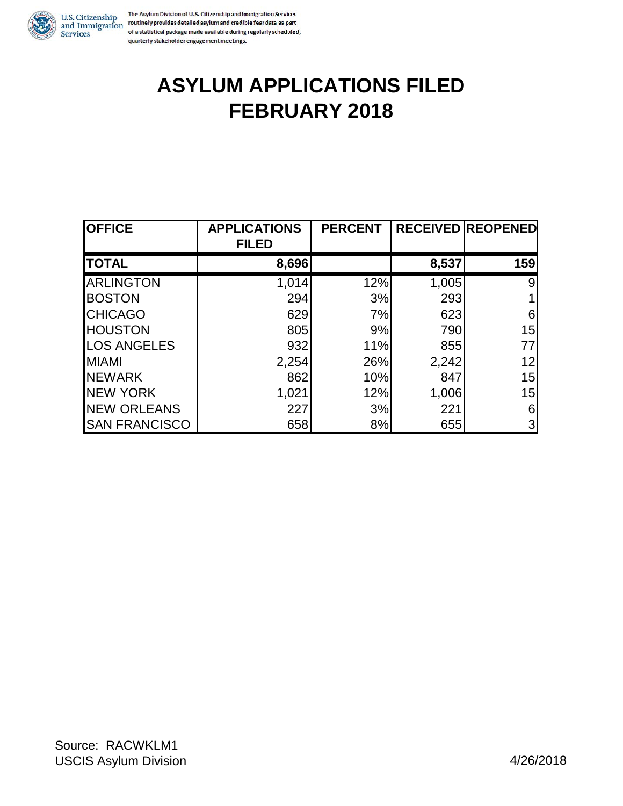

The Asylum Division of U.S. Citizenship and Immigration Services U.S. Citizenship<br>In The Asylum Division of U.S. Citizenship and Immigration Services<br>and Immigration routinely provides detailed asylum and credible fear data as part<br>of a statistical package made available during requirem of a statistical package made available during regularly scheduled, quarterly stakeholder engagement meetings.

## **ASYLUM APPLICATIONS FILED FEBRUARY 2018**

| <b>OFFICE</b>        | <b>APPLICATIONS</b><br><b>FILED</b> | <b>PERCENT</b> |       | <b>RECEIVED REOPENED</b> |
|----------------------|-------------------------------------|----------------|-------|--------------------------|
| <b>TOTAL</b>         | 8,696                               |                | 8,537 | 159                      |
| <b>ARLINGTON</b>     | 1,014                               | 12%            | 1,005 | 9                        |
| <b>BOSTON</b>        | 294                                 | 3%             | 293   |                          |
| <b>CHICAGO</b>       | 629                                 | 7%             | 623   | 6                        |
| <b>HOUSTON</b>       | 805                                 | 9%             | 790   | 15                       |
| <b>LOS ANGELES</b>   | 932                                 | 11%            | 855   | 77                       |
| <b>MIAMI</b>         | 2,254                               | 26%            | 2,242 | 12                       |
| <b>NEWARK</b>        | 862                                 | 10%            | 847   | 15                       |
| <b>NEW YORK</b>      | 1,021                               | 12%            | 1,006 | 15                       |
| <b>NEW ORLEANS</b>   | 227                                 | 3%             | 221   | 6                        |
| <b>SAN FRANCISCO</b> | 658                                 | 8%             | 655   | 3                        |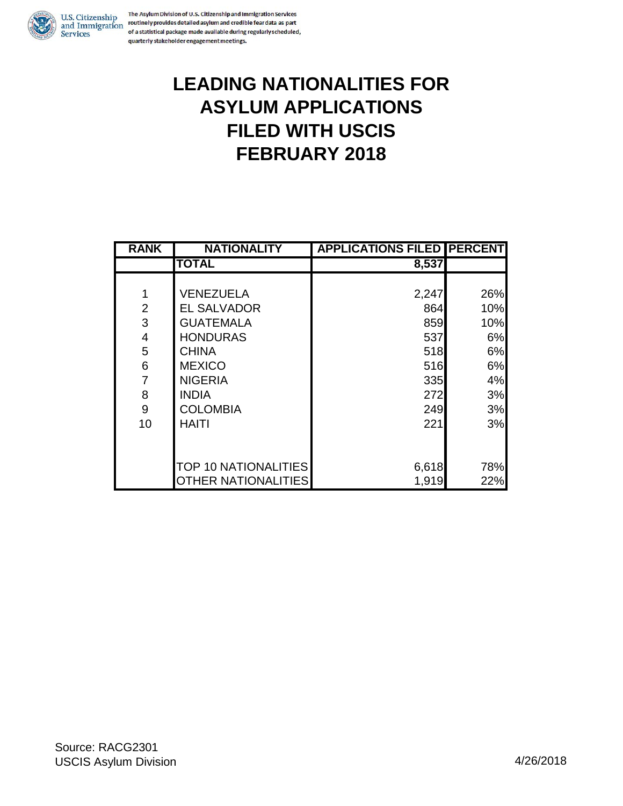

### **LEADING NATIONALITIES FOR ASYLUM APPLICATIONS FILED WITH USCIS FEBRUARY 2018**

| <b>RANK</b>    | <b>NATIONALITY</b>          | <b>APPLICATIONS FILED PERCENT</b> |     |
|----------------|-----------------------------|-----------------------------------|-----|
|                | <b>TOTAL</b>                | 8,537                             |     |
|                |                             |                                   |     |
| 1              | <b>VENEZUELA</b>            | 2,247                             | 26% |
| $\overline{2}$ | <b>EL SALVADOR</b>          | 864                               | 10% |
| 3              | <b>GUATEMALA</b>            | 859                               | 10% |
| 4              | <b>HONDURAS</b>             | 537                               | 6%  |
| 5              | <b>CHINA</b>                | 518                               | 6%  |
| 6              | <b>MEXICO</b>               | 516                               | 6%  |
| 7              | <b>NIGERIA</b>              | 335                               | 4%  |
| 8              | <b>INDIA</b>                | 272                               | 3%  |
| 9              | <b>COLOMBIA</b>             | 249                               | 3%  |
| 10             | <b>HAITI</b>                | 221                               | 3%  |
|                |                             |                                   |     |
|                |                             |                                   |     |
|                | <b>TOP 10 NATIONALITIES</b> | 6,618                             | 78% |
|                | <b>OTHER NATIONALITIES</b>  | 1,919                             | 22% |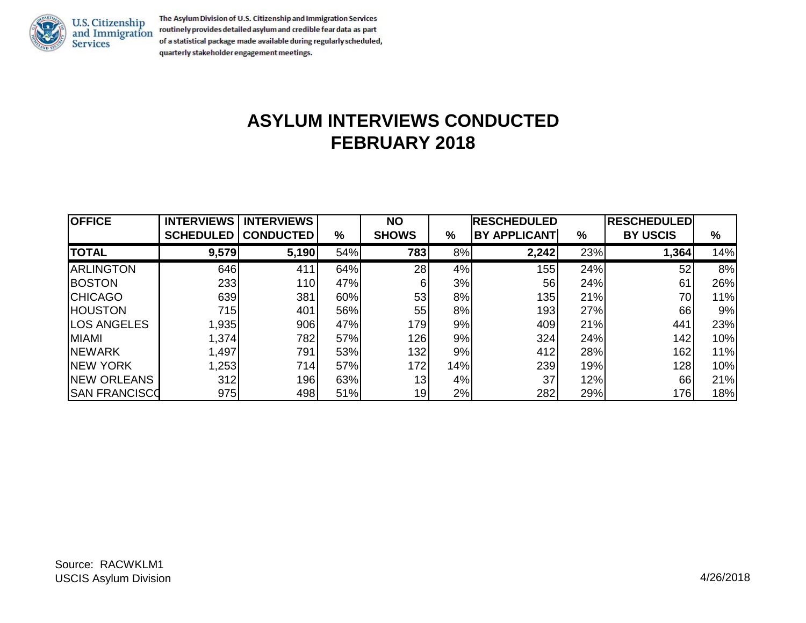

The Asylum Division of U.S. Citizenship and Immigration Services routinely provides detailed asylum and credible fear data as part of a statistical package made available during regularly scheduled, quarterly stakeholder engagement meetings.

### **ASYLUM INTERVIEWS CONDUCTED FEBRUARY 2018**

| <b>OFFICE</b>         | <b>INTERVIEWS</b> | <b>INTERVIEWS</b> |     | <b>NO</b>    |     | <b>RESCHEDULED</b>  |     | <b>RESCHEDULED</b> |     |
|-----------------------|-------------------|-------------------|-----|--------------|-----|---------------------|-----|--------------------|-----|
|                       | <b>SCHEDULED</b>  | <b>CONDUCTED</b>  | %   | <b>SHOWS</b> | %   | <b>BY APPLICANT</b> | %   | <b>BY USCIS</b>    | %   |
| <b>TOTAL</b>          | 9,579             | 5,190             | 54% | 783          | 8%  | 2,242               | 23% | 1,364              | 14% |
| <b>ARLINGTON</b>      | 646               | 411               | 64% | 28           | 4%  | 155                 | 24% | 52                 | 8%  |
| <b>BOSTON</b>         | 233               | <b>110</b>        | 47% | 6            | 3%  | 56                  | 24% | 61                 | 26% |
| <b>CHICAGO</b>        | 639               | 381               | 60% | 53           | 8%  | 135                 | 21% | 70                 | 11% |
| <b>HOUSTON</b>        | 715               | 401               | 56% | 55           | 8%  | 193                 | 27% | 66                 | 9%  |
| <b>ILOS ANGELES</b>   | 1,935             | 906               | 47% | 179          | 9%  | 409                 | 21% | 441                | 23% |
| <b>MIAMI</b>          | 1,374             | 782l              | 57% | 126          | 9%  | 324                 | 24% | 142                | 10% |
| <b>INEWARK</b>        | 1,497             | 791               | 53% | 132          | 9%  | 412                 | 28% | 162                | 11% |
| <b>INEW YORK</b>      | 1,253             | 714               | 57% | 172          | 14% | 239                 | 19% | 128                | 10% |
| <b>INEW ORLEANS</b>   | 312               | 196               | 63% | 13           | 4%  | 37                  | 12% | 66                 | 21% |
| <b>ISAN FRANCISCO</b> | 975               | 498               | 51% | 19           | 2%  | 282                 | 29% | 176                | 18% |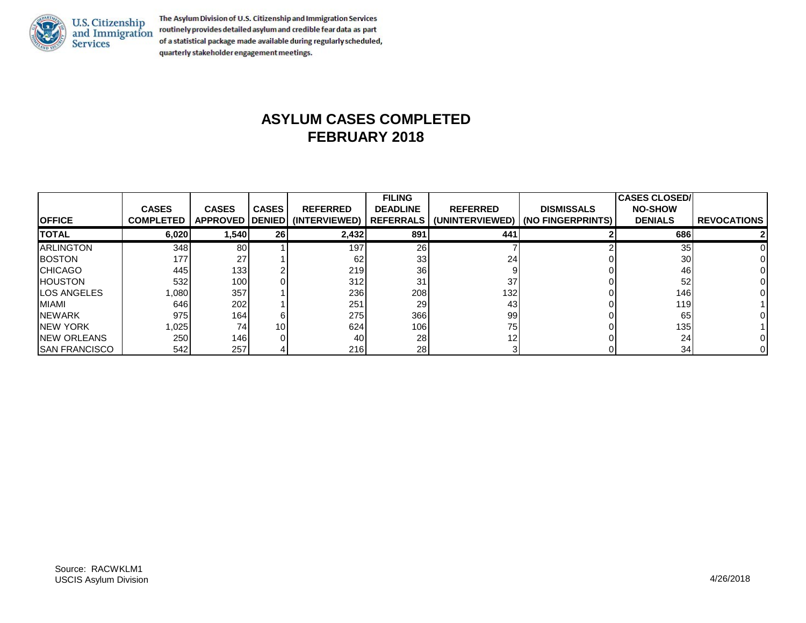

The Asylum Division of U.S. Citizenship and Immigration Services routinely provides detailed asylum and credible fear data as part of a statistical package made available during regularly scheduled, quarterly stakeholder engagement meetings.

#### **ASYLUM CASES COMPLETED FEBRUARY 2018**

|                       |                  |                  |                 |                                   | <b>FILING</b>   |                 |                                                 | <b>CASES CLOSED/</b> |                    |
|-----------------------|------------------|------------------|-----------------|-----------------------------------|-----------------|-----------------|-------------------------------------------------|----------------------|--------------------|
|                       | <b>CASES</b>     | <b>CASES</b>     | <b>CASES</b>    | <b>REFERRED</b>                   | <b>DEADLINE</b> | <b>REFERRED</b> | <b>DISMISSALS</b>                               | <b>NO-SHOW</b>       |                    |
| <b>OFFICE</b>         | <b>COMPLETED</b> |                  |                 | APPROVED   DENIED   (INTERVIEWED) |                 |                 | REFERRALS   (UNINTERVIEWED)   (NO FINGERPRINTS) | <b>DENIALS</b>       | <b>REVOCATIONS</b> |
| <b>TOTAL</b>          | 6,020            | 1,540            | <b>26</b>       | 2,432                             | 891             | 441             |                                                 | 686l                 |                    |
| <b>ARLINGTON</b>      | 348              | 80I              |                 | 197                               | <b>26</b>       |                 |                                                 | 35                   |                    |
| <b>BOSTON</b>         | 177              | 27               |                 | 62                                | 33              | 24              |                                                 | 30                   |                    |
| <b>CHICAGO</b>        | 445              | 133              |                 | 219                               | 36 <sup>1</sup> |                 |                                                 | 46                   |                    |
| <b>HOUSTON</b>        | 532              | 100 <sup>1</sup> |                 | 312                               | 31              | 37              |                                                 | 52                   |                    |
| LOS ANGELES           | 1,080            | 357              |                 | 236                               | 208             | 132             |                                                 | 146                  |                    |
| MIAMI                 | 646I             | 202              |                 | 251                               | 29              | 43              |                                                 | <b>119</b>           |                    |
| <b>NEWARK</b>         | 975              | 164              |                 | 275                               | 366             | 99              |                                                 | 65                   |                    |
| <b>NEW YORK</b>       | 1,025            | 74               | 10 <sup>1</sup> | 624                               | 106             | 75              |                                                 | 135 <sup>1</sup>     |                    |
| <b>INEW ORLEANS</b>   | 250              | 146              |                 | 40 l                              | 28              | 12              |                                                 | 24                   |                    |
| <b>ISAN FRANCISCO</b> | 542              | 257              |                 | <b>216</b>                        | 28 <sub>l</sub> |                 |                                                 | 34                   |                    |